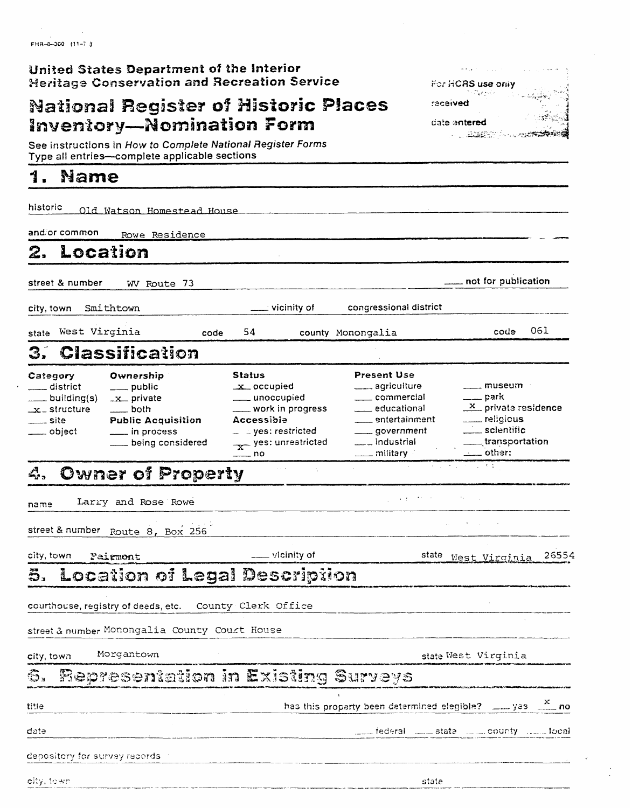FHR-8-300 (11-7.3)

## United States Department of the Interior **Heritage Conservation and Recreation Service**

# **National Register of Historic Places Inventory-Nomination Form**

See instructions in How to Complete National Register Forms<br>Type all entries—complete applicable sections

### 1. **Name**

| historic                                                                                        | Old Watson Homestead House                                                                                                 |                                                                                                                                                     |                                                                                                                                                |                                                                                                                                                                                |
|-------------------------------------------------------------------------------------------------|----------------------------------------------------------------------------------------------------------------------------|-----------------------------------------------------------------------------------------------------------------------------------------------------|------------------------------------------------------------------------------------------------------------------------------------------------|--------------------------------------------------------------------------------------------------------------------------------------------------------------------------------|
| and or common.                                                                                  | Rowe Residence                                                                                                             |                                                                                                                                                     |                                                                                                                                                |                                                                                                                                                                                |
| 2.                                                                                              | Location                                                                                                                   |                                                                                                                                                     |                                                                                                                                                |                                                                                                                                                                                |
| street & number                                                                                 | WV Route 73                                                                                                                |                                                                                                                                                     |                                                                                                                                                | not for publication                                                                                                                                                            |
| city, town                                                                                      | Smithtown                                                                                                                  | ___ vicinity of                                                                                                                                     | congressional district                                                                                                                         |                                                                                                                                                                                |
| state West Virginia                                                                             | code                                                                                                                       | 54                                                                                                                                                  | county Monongalia                                                                                                                              | 061<br>code                                                                                                                                                                    |
| 3.                                                                                              | <b>Classification</b>                                                                                                      |                                                                                                                                                     |                                                                                                                                                |                                                                                                                                                                                |
| Category<br>____ district<br>____ building(s)<br>$\_x\_$ structure<br>_____ site<br>____ object | Ownership<br>____ public<br>$-x$ private<br>____ both<br><b>Public Acquisition</b><br>___ in process<br>Looping considered | Status<br>$x$ occupied<br>____ unoccupied<br>___ work in progress<br>Accessible<br>$-$ = yes: restricted<br>$\frac{1}{x}$ yes: unrestricted<br>_ no | <b>Present Use</b><br>____ agriculture<br>____ commercial<br>educational<br>____ entertainment<br>government<br>___ industrial<br>___ military | ____ museum<br>$\rule{1em}{0.15mm}$ park<br>$\frac{\mathbf{x}}{\mathbf{y}}$ private residence<br>__ religious<br>$\equiv$ scientific<br>$\_$ transportation<br>$\equiv$ other: |
|                                                                                                 | 4. Owner of Property                                                                                                       |                                                                                                                                                     |                                                                                                                                                | 经经济的 化二氢甲基                                                                                                                                                                     |
| name                                                                                            | Larry and Rose Rowe                                                                                                        |                                                                                                                                                     | $\mathcal{L}^{\mathcal{L}}$ and $\mathcal{L}^{\mathcal{L}}$ and $\mathcal{L}^{\mathcal{L}}$ and $\mathcal{L}^{\mathcal{L}}$                    |                                                                                                                                                                                |
|                                                                                                 | street & number Route 8, Box 256                                                                                           |                                                                                                                                                     |                                                                                                                                                |                                                                                                                                                                                |
| city, town-                                                                                     | Pairmont                                                                                                                   | $\frac{1}{2}$ vicinity of                                                                                                                           |                                                                                                                                                | 26554<br>state West Virginia                                                                                                                                                   |
|                                                                                                 | 5. Location of Legal Description                                                                                           |                                                                                                                                                     |                                                                                                                                                |                                                                                                                                                                                |
|                                                                                                 | courthouse, registry of deeds, etc.                                                                                        | County Clerk Office                                                                                                                                 |                                                                                                                                                |                                                                                                                                                                                |
|                                                                                                 | street & number Monongalia County Court House                                                                              |                                                                                                                                                     |                                                                                                                                                |                                                                                                                                                                                |
| city, town                                                                                      | Morgantown                                                                                                                 |                                                                                                                                                     |                                                                                                                                                | state West Virginia                                                                                                                                                            |
| G.,                                                                                             | Representation in Existing Surveys                                                                                         |                                                                                                                                                     |                                                                                                                                                |                                                                                                                                                                                |
| title                                                                                           |                                                                                                                            |                                                                                                                                                     |                                                                                                                                                | has this property been determined elegible? $\frac{X}{1-x}$ yes $\frac{X}{1-x}$ no                                                                                             |
| date                                                                                            |                                                                                                                            |                                                                                                                                                     |                                                                                                                                                | federal in the state in the county in the local                                                                                                                                |
| depository for survey records.                                                                  |                                                                                                                            |                                                                                                                                                     |                                                                                                                                                |                                                                                                                                                                                |
| olty, town                                                                                      |                                                                                                                            |                                                                                                                                                     | state                                                                                                                                          |                                                                                                                                                                                |
|                                                                                                 |                                                                                                                            |                                                                                                                                                     |                                                                                                                                                |                                                                                                                                                                                |

 $\sim$   $\sim$   $\sim$ 

racaived

date antered

For HCRS use only Parker

**CONTRACTORS** 

 $\mathcal{L}_{\rm{max}}$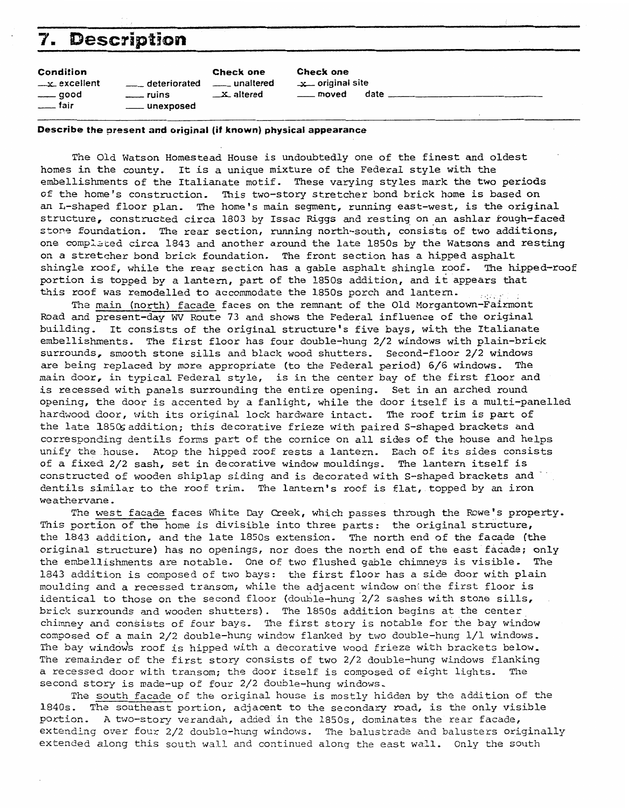| 7.<br><b>Description</b>                                   |                                             |                                                       |                                                      |      |  |
|------------------------------------------------------------|---------------------------------------------|-------------------------------------------------------|------------------------------------------------------|------|--|
| Condition<br>$-x$ excellent<br>____ good<br><u>__</u> fair | deteriorated<br>$-$ ruins<br>____ unexposed | <b>Check one</b><br>unaltered<br>$\mathbf{X}$ altered | Check one<br>$\mathbf{x}$ original site<br>___ moved | date |  |

## **Describe the prasent and original (if known) physical appearance**

The Old Watson Homestead House is undoubtedly one of the finest and oldest homes in the county. It is a unique mixture of the Federal style with the embellishments of the Italianate motif. These varying styles mark the two periods of the home's construction. This two-story stretcher bond brick home is based on an L-shaped floor plan. The home's main segment, running east-west, is **the** original structure, constructed circa 1803 by Issac Riggs and resting on an ashlar rough-faced<br>stone foundation. The rear section, running north-south, consists of two additions, stone foundation. The rear section, running north-south, consists of two additions,<br>one completed circa 1843 and another around the late 1850s by the Watsons and resting on a stretcher bond brick foundation. The front section has a hipped asphalt shingle roof, while the rear section has a gable asphalt shingle roof. The hipped-roof portion is topped by a lantern, part of the 1850s addition, and it appears that portion is topped by a lantern, part of the 1850s addition, and it appears that this roof was remodelled to accommodate the 1850s porch and lantern.

The main (north) facade faces on the remnant of the Old Morgantown-Fairmont Road and present-day **WV** Route 73 and shows the Federal influence of the original building. It consists of the original structure's five bays, with the Italianate<br>embellishments. The first floor has four double-hung 2/2 windows with plain-brick surrounds, smooth stone sills and black wood shutters, Second-floor 2/2 windows are being replaced by more appropriate (to the Federal period) *616* windows. The main door, in typical Federal style, is in the center bay of the first floor **and**  is recessed with panels surrounding the entire opening. Set in an arched round opening, the door is accented by a fanlight, while the door itself is a multi-panelled hardwood door, with its original lock hardware intact. **The** roof trim is part of the late 185% addition; **this** decorative frieze with paired S-shaped brackets **and**  corresponding dentils forms **part** of the cornice on all sides of the house and helps unify the house. Atop the hipped roof rests a lantern. Each of its sides consists of a fixed 2/2 sash, set in decorative window mouldings. The lantern itself is constructed of wooden shiplap siding and is decorated with S-shaped brackets and 6entils similar to the roof trim. The lantern's roof is flat, topped by an iron weathervane.

The west facade faces White Day Creek, which passes through the Rowe's property. This portion of the home is divisible into three parts: the original structure, the 1843 addition, and the late 1850s extension. The north end of the facade **(the**  original structure) has no openings, nor does the north end of the east facade; **only**  the embellishments are notable. One of two flushed gable chimneys is visible, The 1843 addition is composed of two bays: the first floor has a side door with plain moulding **and** a recessed transom, while the adjacent window on; the first floor is identical to those on the second floor (double-hung  $2/2$  sashes with stone sills, brick surrounds and wooden shutters). The 1850s addition begins at the center chimney and consists of four bays. The first story is notable for the bay window composed of a main  $2/2$  double-hung window flanked by two double-hung  $1/1$  windows. The bay windows roof is hipped with a decorative wood frieze with brackets below. The remainder of the first story consists of two 2/2 double-hung windows flanking a recessed door with transom; the door **itself** is composed of eight lights- The second story is made-up of four 2/2 double-hung windows,

The south facade of the original house is mostly hidden by the addition of the 1840s. The southeast portion, adjacent to the secondary road, is the only visible portion. A two-story verandah, added in the 1850s, dominates the rear facade, extending over four 2/2 double-hung windows. The balustrade and balusters originally extended along this south **wall** and continued along the east wall. Only the south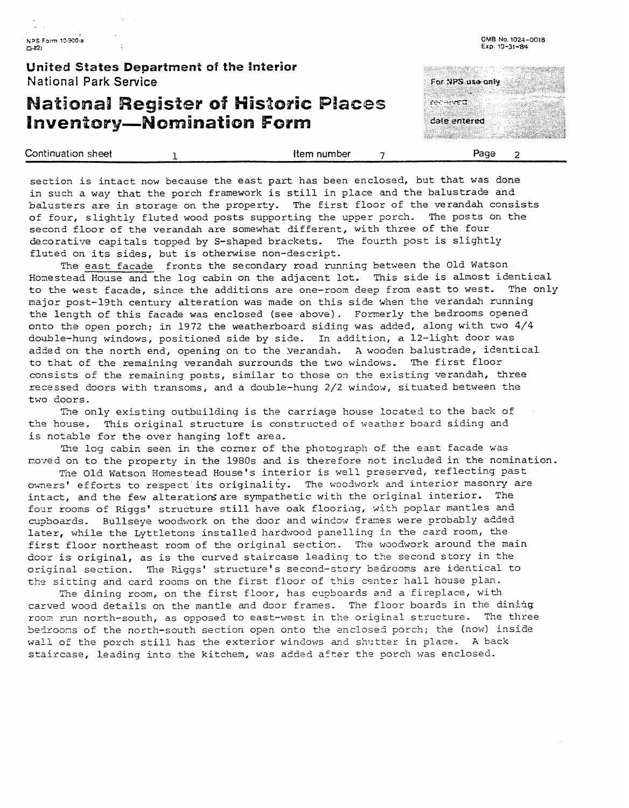**United States Department of the interior**  National Park **Service** 

## **Mationall Register of Historic Piaces Inventory-Nomination Form**



**OM8 No. 1024-0018 ~xp. 30-31484** 

| Continuation sheet | Item number | -aae |  |
|--------------------|-------------|------|--|
|                    |             |      |  |

section is intact now because the east part has been enclosed, but that **was** done in such a way that the porch framework is still in place and the balustrade and balusters are in storage on the property. The first floor of the verandah consists of four, slightly fluted wood posts supporting the upper porch. The posts on the second floor of the verandah are somewhat different, with three of the four decorative capitals topped by S-shaped brackets. The fourth post is slightly fluted on its sides, but is otherwise non-descript.

The east facade fronts the secondary road running between the Old Watson Homestead House and the log cabin on the adjacent lot. This side is almost identical to the west facade, since the additions are one-room deep from east to west. The only major post-19th century alteration was made on this side when the verandah running the length of this facade was enclosed (see above). Formerly the bedrooms opened onto the open porch; in 1972 the weatherboard siding was added, along with two 4/4 double-hung windows, positioned side by side. In addition, a 12-light door was added on the north end, opening on to the yerandah. A wooden balustrade, identical to that of the remaining verandah surrounds the two win5ows. **The** first floor consists of the remaining posts, similar to those on the existing verandah, three recessed doors with transoms, and a double-hung 2/2 window, situated between the two doors.

The only existing outbuilding is the carriage house located to the back of the house. This original structure is constructed of weather board siding and is notable for the over hanging loft area.

**Tho** log cabin seen in the comer of the photograph of the east facade was moved on to the property in the 1980s and is therefore not included in the nomination.

Tne Old Watson Homestead House's interior is well preserved, reflecting past owners' efforts to respect its originality. The woodwork and interior masonry are intact, and the few alterations are sympathetic with the original interior. The four rooms of Riggs' structure still have oak flooring, with poplar mantles and cupboards. Bullseye woodwork on the door and window frames were probably added later, while the Lyttletons installed hardwood panelling in the card room, the first floor northeast room of the original section. The woodwork around the main door is original, as is the curved staircase leading to the second story in the original section. The Riggs' structure's second-story bedrooms are identical to the sitting and card rooms on the first floor of this center hall house plan.

The dining room, on the first floor, has cupboards and a fireplace, with carved wood details on the mantle and door frames. The floor boards in the dining room run north-south, as opposed to east-west in the original structure. The three bedrooms of the north-south section open onto the enclosed porch; the (now) inside wall of the porch still has the exterior windows and shutter in place. A back staircase, leading into the kitchem, was added after the porch was enclosed.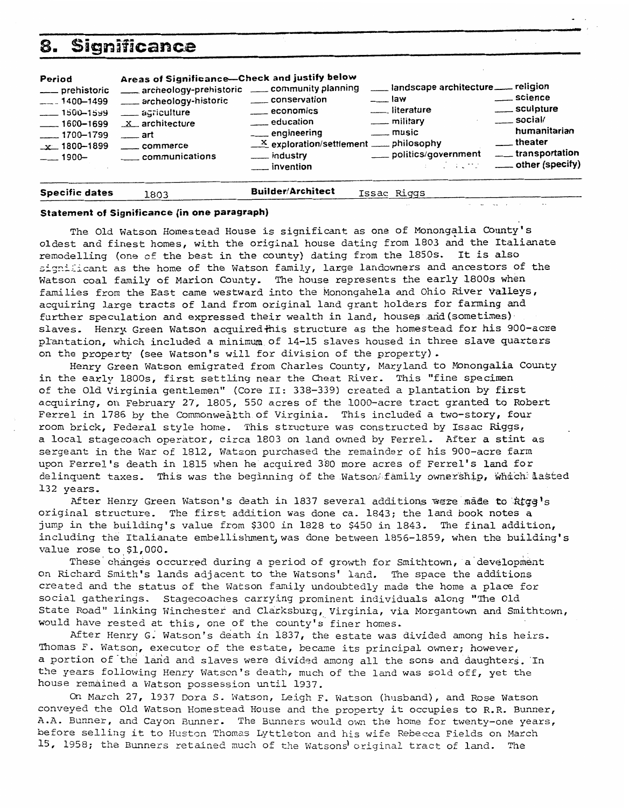| 8.                                                                                                                               | <b>Significance</b>                                                                                                                                                                                                      |                                                                                                                                                                                                                    |                                                                                                                                                                   |                                                                                                                                                      |
|----------------------------------------------------------------------------------------------------------------------------------|--------------------------------------------------------------------------------------------------------------------------------------------------------------------------------------------------------------------------|--------------------------------------------------------------------------------------------------------------------------------------------------------------------------------------------------------------------|-------------------------------------------------------------------------------------------------------------------------------------------------------------------|------------------------------------------------------------------------------------------------------------------------------------------------------|
| Period<br>___ prehistoric<br>$-$ -1400-1499<br>$-1500 - 1599$<br>$-1600 - 1699$<br>$- 1700 - 1799$<br>$-x$ 1800-1899<br>$-1900-$ | Areas of Significance-Check and justify below<br>archeology-prehistoric __ community planning<br>archeology-historic<br>__ agriculture<br>$x$ architecture<br>$\overline{\phantom{a}}$ art<br>commerce<br>communications | conservation<br>$\equiv$ economics<br>education<br>__ engineering<br>$\underline{\phantom{a}}^{\mathbf{X}}$ exploration/settlement $\underline{\phantom{a}}$ philosophy<br>___ industry<br>$\frac{1}{2}$ invention | landscape architecture __ religion<br><u>sawa</u><br>__ literature<br>$\equiv$ military<br><u>___</u> music<br>___ politics/government<br>stage of the process of | ____ science<br>____ sculpture<br>$\sim$ social/<br>humanitarian<br>$\overline{\phantom{a}}$ theater<br>____ transportation<br>_____ other (specify) |

**Specific dates** 1803 **Builder/Architect** ~~sa~ **=qqs** -.

## **Statement of Significance (in one paragraph)**

The Old Watson Homestead House is significant as one of Monongalia County's oldest and finest homes, with the original house dating from 1803 and the Italianate remodelling (one of the best in the county) dating from the 1850s. It is also significant as the home of the Watson family, large landowners and ancestors of the Watson coal family of Marion County. The house represents the early **1800s** when families from the East came westward into the Monongahela and Ohio River Valleys, acquiring large tracts of land from original land grant holders for farming and further speculation and expressed their wealth in land, houses and (sometimes) slaves. Henry Green Watson acquired this structure as the homestead for his 900-acre plantation, which included a minimum of 14-15 slaves housed in three slave quarters<br>on the property (see Watson's will for division of the property).<br>Henry Green Watson emigrated from Charles County, Maryland to Monongalia

Henry Green Watson emigrated from Charles County, Maryland to Monongalia County<br>in the early 1800s, first settling near the Cheat River. This "fine specimen of the Old Virginia gentlemen" (Core II: 338-339) created a plantation by first acquiring, on February 27, 1805, 550 acres of the 1000-acre tract granted to Robert Ferrel in 1786 by the Commonwealth of Virginia. This included a two-story, four room brick, Federal style home. **This** structure was constructed by Issac **Riggs,**  a local stagecoach operator, circa 1803 on land owned by Ferrel. After a stint as sergeant in the War of 1812, Watson purchased the remainder of his 900-acre farm upon Ferrel's death in 1815 when he acquired 380 more acres of Ferrel's **land** for delinquent taxes. This was the beginning of the Watson family ownership, which dasted 132 years,

After Henry Green Watson's death in 1837 several additions were made to kigg's original structure. The first addition was done ca. 1843; the **land** book notes a jump in the building's value from \$300 in 1828 to \$450 in 1843. The final addition, including the Italianate embellishment,was done between 1856-1859, when the building's value rose to \$1,000.

These changes occurred during a period of growth for Smithtown, a development on Richard Smith's lands adjacent to the Watsons' land. The space the additions created and the status of the Watson family undoubtedly made the home a place for social gatherings. Stagecoaches carrying prominent individuals along "The Old State Road" linking Winchester and Clarksburg, Virginia, via Morgantown and Smithtown, would have rested at this, one of the county's finer homes.

After Henry G; Watson's death in 1837, the estate was divided among his heirs. Thomas F. Watson, executor of the estate, becane its principal owner; however, a portion of the land and slaves were divided among all the sons and daughters. In the years following Henry Watson's death, much of the land **was** sold off, yet **the**  house remained a Watson possession until 1937.

On March 27, 1937 Dora S. Watson, Leigh F. Watson (husband), and Rose Watson conveyed the Old Watson Homestead House and the property it occupies to R.R. Bunner, A.A. Bunner, and Cayon Bunner. The Bunners would own the home for twenty-one years, before selling it to Huston Thomas Lyttleton and his wife Rebecca Fields on March 15, 1958; the Bunners retained much of the Watsons' original tract of land. The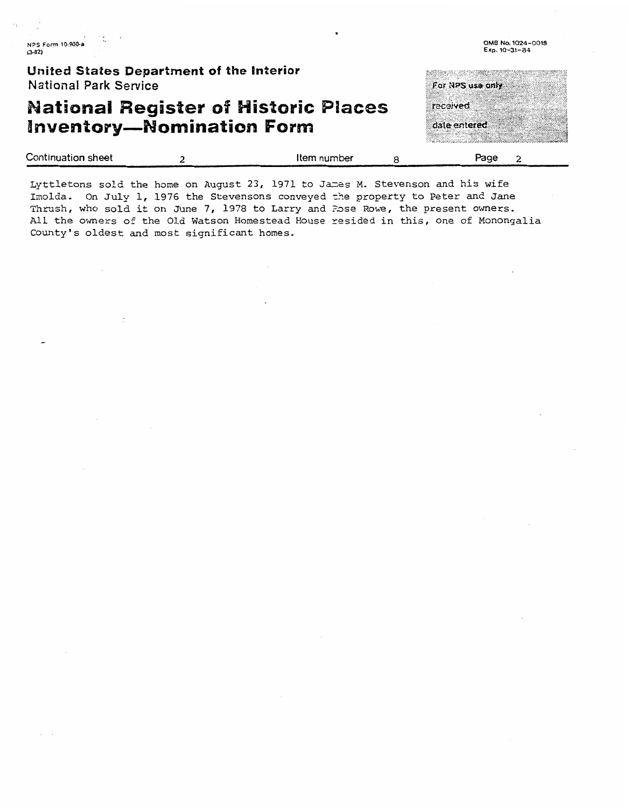**OM6 N0.1024-0018 Exp. 10-31-84** 

| United States Department of the Interior<br><b>National Park Service</b>        | For NPS use only         |
|---------------------------------------------------------------------------------|--------------------------|
| <b>National Register of Historic Places</b><br><b>Inventory-Nomination Form</b> | received<br>date entered |

| Continuation sheet | Item number | Page |
|--------------------|-------------|------|
|                    |             | ___  |

Lyttletons sold the home on August 23, 1971 to James M. Stevenson and his wife Imolda. On July 1, 1976 the Stevensons conveyed the property to Peter and Jane Thrush, who sold it on June 7, 1978 to Larry and Pose Rowe, the present owners. All the owners of the Old Watson Homestead House resided in this, one of Monongalia County's oldest **and** most significant homes.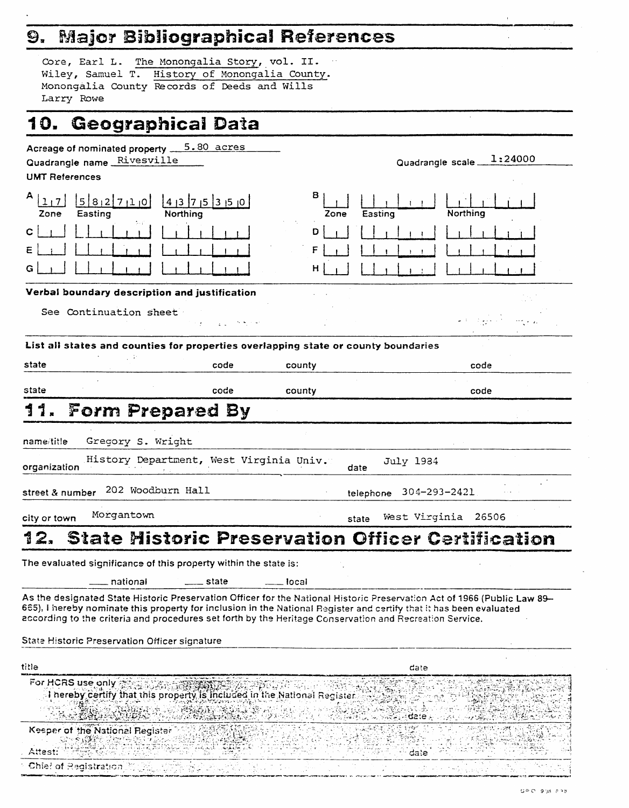# 9. Major Bibliographical References

| Core, Earl L. The Monongalia Story, vol. II.   |  |  |
|------------------------------------------------|--|--|
| Wiley, Samuel T. History of Monongalia County. |  |  |
| Monongalia County Records of Deeds and Wills   |  |  |
| Larry Rowe                                     |  |  |

# 10. Geographical Data

| Acreage of nominated property 5.80 acres                                                                                                                                                                                       |                                                                                                                          |
|--------------------------------------------------------------------------------------------------------------------------------------------------------------------------------------------------------------------------------|--------------------------------------------------------------------------------------------------------------------------|
| Quadrangle name Rivesville                                                                                                                                                                                                     | 1:24000<br>Quadrangle scale_                                                                                             |
| <b>UMT References</b>                                                                                                                                                                                                          |                                                                                                                          |
| А<br>582710<br>$4$  3  7  5  3  5  0<br>Northing<br>Zone<br>Easting                                                                                                                                                            | 8<br>Easting<br>Northing<br>Zone                                                                                         |
|                                                                                                                                                                                                                                | D                                                                                                                        |
|                                                                                                                                                                                                                                |                                                                                                                          |
|                                                                                                                                                                                                                                | н                                                                                                                        |
| Verbal boundary description and justification                                                                                                                                                                                  |                                                                                                                          |
| See Continuation sheet                                                                                                                                                                                                         |                                                                                                                          |
| List all states and counties for properties overlapping state or county boundaries                                                                                                                                             |                                                                                                                          |
| state<br>code                                                                                                                                                                                                                  | county<br>code                                                                                                           |
|                                                                                                                                                                                                                                |                                                                                                                          |
| state<br>code                                                                                                                                                                                                                  | county<br>code                                                                                                           |
| 11.<br><b>Form Prepared By</b>                                                                                                                                                                                                 |                                                                                                                          |
| Gregory S. Wright<br>name/title                                                                                                                                                                                                |                                                                                                                          |
|                                                                                                                                                                                                                                |                                                                                                                          |
| History Department, West Virginia Univ.<br>organization                                                                                                                                                                        | July 1984<br>date                                                                                                        |
| 202 Woodburn Hall<br>street & number                                                                                                                                                                                           | telephone 304-293-2421                                                                                                   |
| Morgantown<br>city or town                                                                                                                                                                                                     | West Virginia 26506<br>state                                                                                             |
| 12.                                                                                                                                                                                                                            | <b>State Mistoric Preservation Officer Certification</b>                                                                 |
|                                                                                                                                                                                                                                |                                                                                                                          |
| The evaluated significance of this property within the state is:                                                                                                                                                               |                                                                                                                          |
| national<br>state                                                                                                                                                                                                              | Tocal                                                                                                                    |
| 665), I hereby nominate this property for inclusion in the National Register and certify that it has been evaluated<br>according to the criteria and procedures set forth by the Heritage Conservation and Recreation Service. | As the designated State Historic Preservation Officer for the National Historic Preservation Act of 1966 (Public Law 89– |
| State Historic Preservation Officer signature                                                                                                                                                                                  |                                                                                                                          |
| title                                                                                                                                                                                                                          | date                                                                                                                     |
| For HCRS use only<br>I hereby certify that this property is included in the National Register                                                                                                                                  |                                                                                                                          |
|                                                                                                                                                                                                                                | aste                                                                                                                     |
| Keeper of the National Register                                                                                                                                                                                                |                                                                                                                          |
| Attest:                                                                                                                                                                                                                        | dale.                                                                                                                    |
| Chief of Registration                                                                                                                                                                                                          |                                                                                                                          |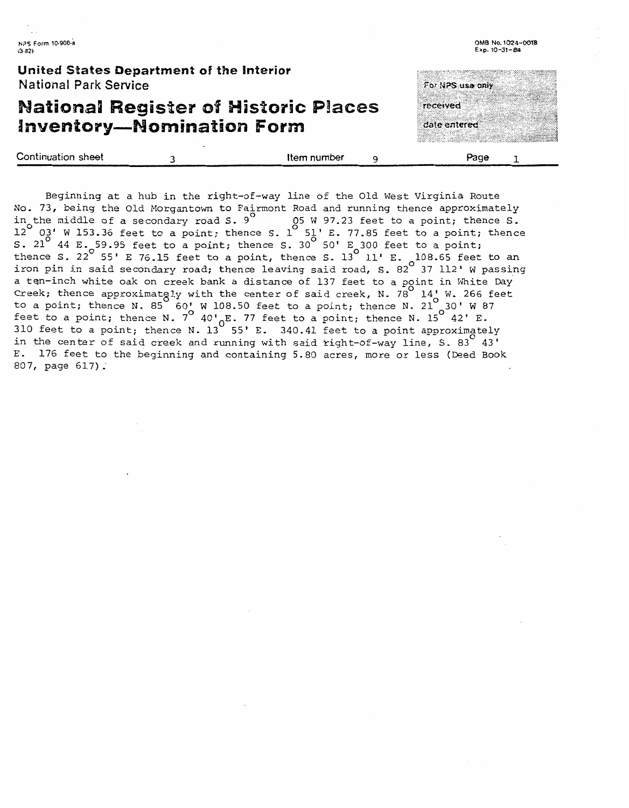**OMB** No. **1W4-00%9 Exp. 10-31-8~2** 

**United States Department of the Interior National Park Service** 

## **Mational Register of Historic Places Inventory-Momination Form**

Continuation **sheet 3 Item** number 9 **Page** 1

For NPS use only

received

date entered

Beginning at a hub in the right-of-way line of the Old West Virginia Route No. 73, being the Old Morgantown to Fairmont Road and running thence approximately<br>in the middle of a secondary road S. 9 (5 W 97.23 feet to a point; thence S. in the middle of a secondary road S. 9<sup>0</sup> 05 W 97.23 feet to a point; thence S.<br>12 02' W 153.36 feet to a point; thence S. 1 51' E. 77.85 feet to a point; thence  $12$   $\,$   $03$ ' W 153.36 feet to a point; thence S. 1  $\,$  51' E. 77.85 feet to a point;<br>3. 21  $\,$  44 E. 59.95 feet to a point; thence S. 30  $\,$  50' E 300 feet to a point; thence S. 22 55' 95.95 feet to a point; thence S. 30 50' E 300 feet to a point;<br>thence S. 22 55' E 76.15 feet to a point, thence S. 13 11' E. <sub>-</sub>108.65 feet to an iron pin in said secondary road; thence leaving said road, S. 82 $^{\circ}$  37 112' W passing a ten-inch white oak on creek bank a distance of 137 feet to a point in White Day Creek; thence approximately with the center of said creek, N. 78 14<sup>'</sup> W. 266 feet to a point; thence N. 85 60' W 108.50 feet to a point; thence N. 21 30' W 87  $\frac{1}{2}$  feet to a point; thence N. 7<sup>o</sup> 40'<sub>c</sub>E. 77 feet to a point; thence N. 15<sup>o</sup> 42' E. 310 feet to a point; thence N. 13 55' E. 340.41 feet to a point approximately in the center of said creek and running with said right-of-way line, S. 83 43' E. 176 feet to the beginning and containing 5.80 acres, more or less (Deed Book 837, page 617) .'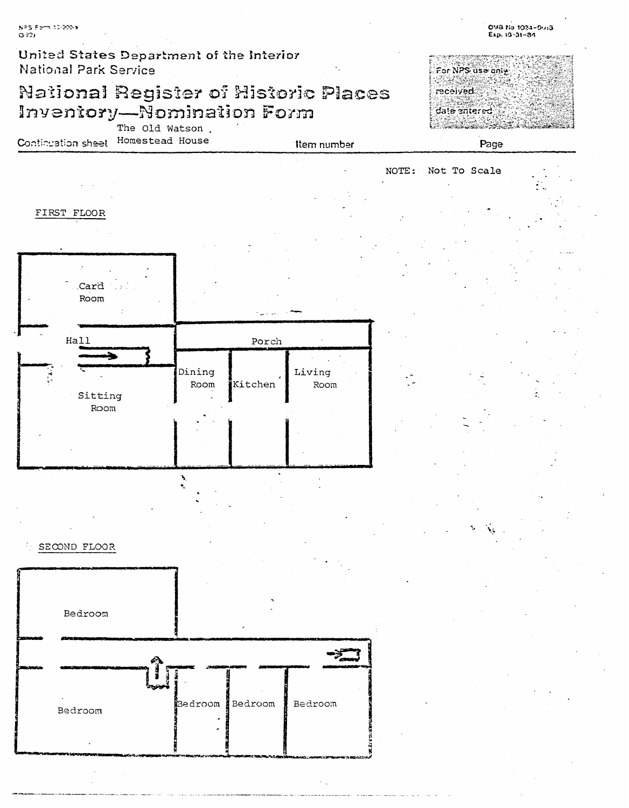United States Department of the Interior National Park Service

# National Register of Historic Places Inventory—Nomination Form



The Old Watson. Continuation sheet Homestead House

**Item** number



NOTE: Not To Scale



SECOND FLOOR

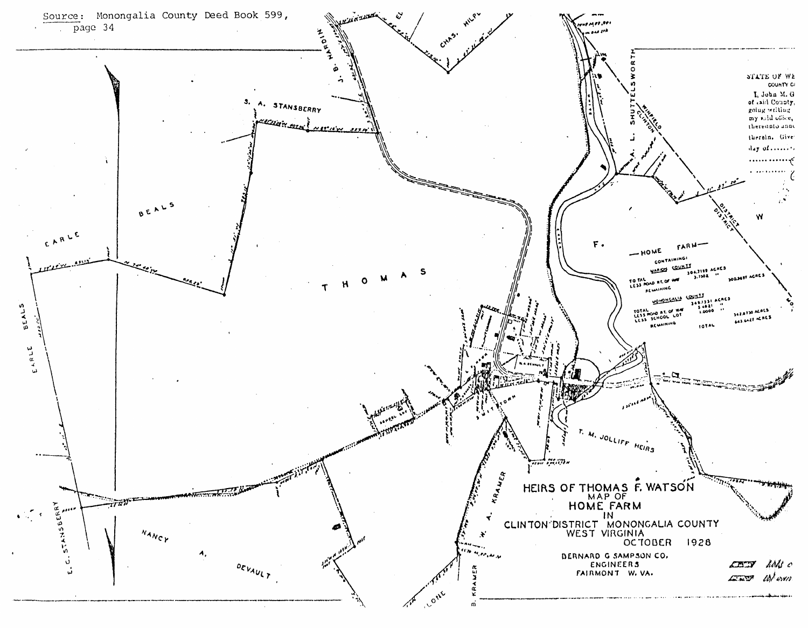